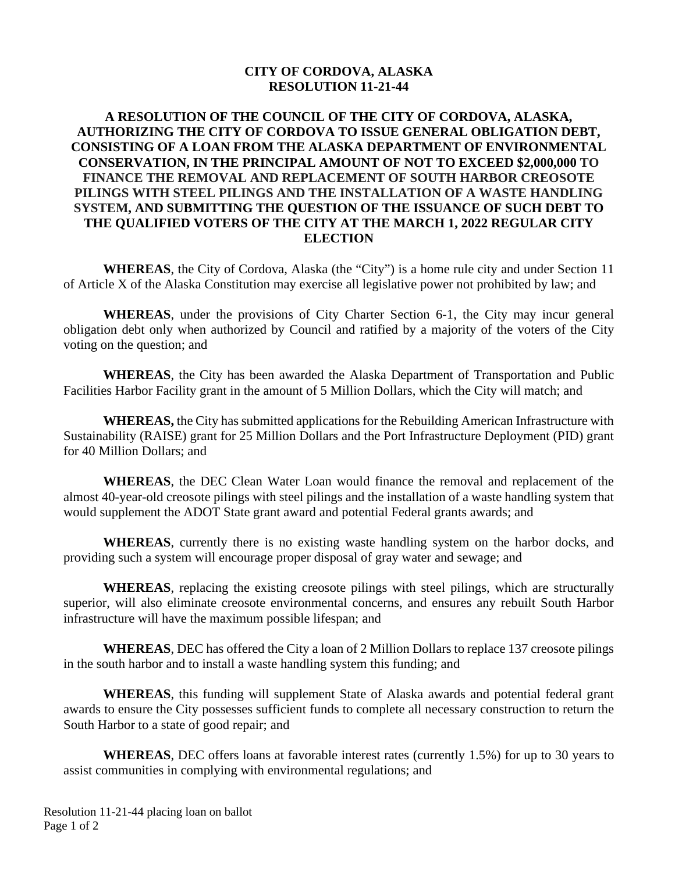#### **CITY OF CORDOVA, ALASKA RESOLUTION 11-21-44**

# **A RESOLUTION OF THE COUNCIL OF THE CITY OF CORDOVA, ALASKA, AUTHORIZING THE CITY OF CORDOVA TO ISSUE GENERAL OBLIGATION DEBT, CONSISTING OF A LOAN FROM THE ALASKA DEPARTMENT OF ENVIRONMENTAL CONSERVATION, IN THE PRINCIPAL AMOUNT OF NOT TO EXCEED \$2,000,000 TO FINANCE THE REMOVAL AND REPLACEMENT OF SOUTH HARBOR CREOSOTE PILINGS WITH STEEL PILINGS AND THE INSTALLATION OF A WASTE HANDLING SYSTEM, AND SUBMITTING THE QUESTION OF THE ISSUANCE OF SUCH DEBT TO THE QUALIFIED VOTERS OF THE CITY AT THE MARCH 1, 2022 REGULAR CITY ELECTION**

**WHEREAS**, the City of Cordova, Alaska (the "City") is a home rule city and under Section 11 of Article X of the Alaska Constitution may exercise all legislative power not prohibited by law; and

**WHEREAS**, under the provisions of City Charter Section 6-1, the City may incur general obligation debt only when authorized by Council and ratified by a majority of the voters of the City voting on the question; and

**WHEREAS**, the City has been awarded the Alaska Department of Transportation and Public Facilities Harbor Facility grant in the amount of 5 Million Dollars, which the City will match; and

**WHEREAS,** the City has submitted applications for the Rebuilding American Infrastructure with Sustainability (RAISE) grant for 25 Million Dollars and the Port Infrastructure Deployment (PID) grant for 40 Million Dollars; and

**WHEREAS**, the DEC Clean Water Loan would finance the removal and replacement of the almost 40-year-old creosote pilings with steel pilings and the installation of a waste handling system that would supplement the ADOT State grant award and potential Federal grants awards; and

**WHEREAS**, currently there is no existing waste handling system on the harbor docks, and providing such a system will encourage proper disposal of gray water and sewage; and

**WHEREAS**, replacing the existing creosote pilings with steel pilings, which are structurally superior, will also eliminate creosote environmental concerns, and ensures any rebuilt South Harbor infrastructure will have the maximum possible lifespan; and

**WHEREAS**, DEC has offered the City a loan of 2 Million Dollars to replace 137 creosote pilings in the south harbor and to install a waste handling system this funding; and

**WHEREAS**, this funding will supplement State of Alaska awards and potential federal grant awards to ensure the City possesses sufficient funds to complete all necessary construction to return the South Harbor to a state of good repair; and

**WHEREAS**, DEC offers loans at favorable interest rates (currently 1.5%) for up to 30 years to assist communities in complying with environmental regulations; and